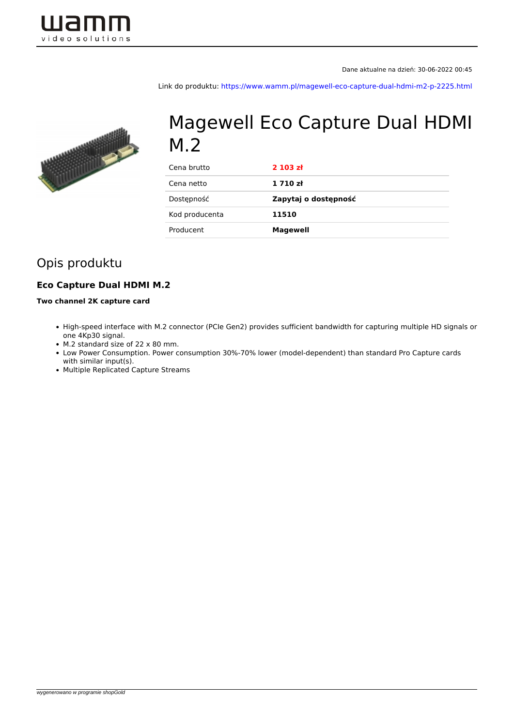

Link do produktu:<https://www.wamm.pl/magewell-eco-capture-dual-hdmi-m2-p-2225.html>



# Magewell Eco Capture Dual HDMI M.2

| Cena brutto    | 2103 zt              |
|----------------|----------------------|
| Cena netto     | 1710z                |
| Dostępność     | Zapytaj o dostępność |
| Kod producenta | 11510                |
| Producent      | <b>Magewell</b>      |
|                |                      |

## Opis produktu

#### **Eco Capture Dual HDMI M.2**

#### **Two channel 2K capture card**

- High-speed interface with M.2 connector (PCIe Gen2) provides sufficient bandwidth for capturing multiple HD signals or one 4Kp30 signal.
- M.2 standard size of 22 x 80 mm.
- Low Power Consumption. Power consumption 30%-70% lower (model-dependent) than standard Pro Capture cards with similar input(s).
- Multiple Replicated Capture Streams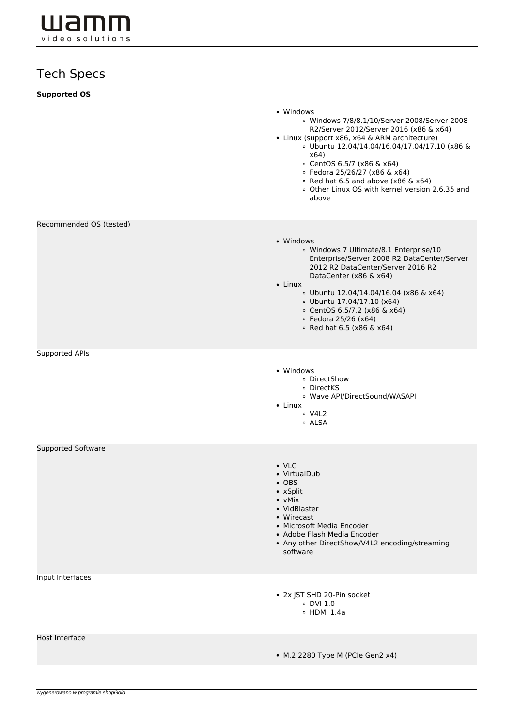wamm video solutions

## Tech Specs

| <b>Supported OS</b>       |                                                                                                                                                                                                                                                                                                                                                                                       |
|---------------------------|---------------------------------------------------------------------------------------------------------------------------------------------------------------------------------------------------------------------------------------------------------------------------------------------------------------------------------------------------------------------------------------|
|                           | • Windows<br>© Windows 7/8/8.1/10/Server 2008/Server 2008<br>R2/Server 2012/Server 2016 (x86 & x64)<br>• Linux (support x86, x64 & ARM architecture)<br>© Ubuntu 12.04/14.04/16.04/17.04/17.10 (x86 &<br>x64)<br>© CentOS 6.5/7 (x86 & x64)<br>∘ Fedora 25/26/27 (x86 & x64)<br>$\circ$ Red hat 6.5 and above (x86 & x64)<br>o Other Linux OS with kernel version 2.6.35 and<br>above |
| Recommended OS (tested)   |                                                                                                                                                                                                                                                                                                                                                                                       |
|                           | • Windows<br>○ Windows 7 Ultimate/8.1 Enterprise/10<br>Enterprise/Server 2008 R2 DataCenter/Server<br>2012 R2 DataCenter/Server 2016 R2<br>DataCenter (x86 & x64)<br>$\bullet$ Linux<br>© Ubuntu 12.04/14.04/16.04 (x86 & x64)<br>$\circ$ Ubuntu 17.04/17.10 (x64)<br>© CentOS 6.5/7.2 (x86 & x64)<br>◦ Fedora 25/26 (x64)<br>• Red hat $6.5$ (x86 & x64)                             |
| Supported APIs            |                                                                                                                                                                                                                                                                                                                                                                                       |
|                           | • Windows<br>∘ DirectShow<br>· DirectKS<br>· Wave API/DirectSound/WASAPI<br>$\bullet$ Linux<br>$\circ$ V4L2<br>∘ ALSA                                                                                                                                                                                                                                                                 |
| <b>Supported Software</b> |                                                                                                                                                                                                                                                                                                                                                                                       |
|                           | $\cdot$ VLC<br>• VirtualDub<br>$\bullet$ OBS<br>• xSplit<br>• vMix<br>• VidBlaster<br>• Wirecast<br>• Microsoft Media Encoder<br>• Adobe Flash Media Encoder<br>• Any other DirectShow/V4L2 encoding/streaming<br>software                                                                                                                                                            |
| Input Interfaces          |                                                                                                                                                                                                                                                                                                                                                                                       |
|                           | • 2x JST SHD 20-Pin socket<br>$\circ$ DVI 1.0<br>$\circ$ HDMI 1.4a                                                                                                                                                                                                                                                                                                                    |
| Host Interface            | • M.2 2280 Type M (PCle Gen2 x4)                                                                                                                                                                                                                                                                                                                                                      |
|                           |                                                                                                                                                                                                                                                                                                                                                                                       |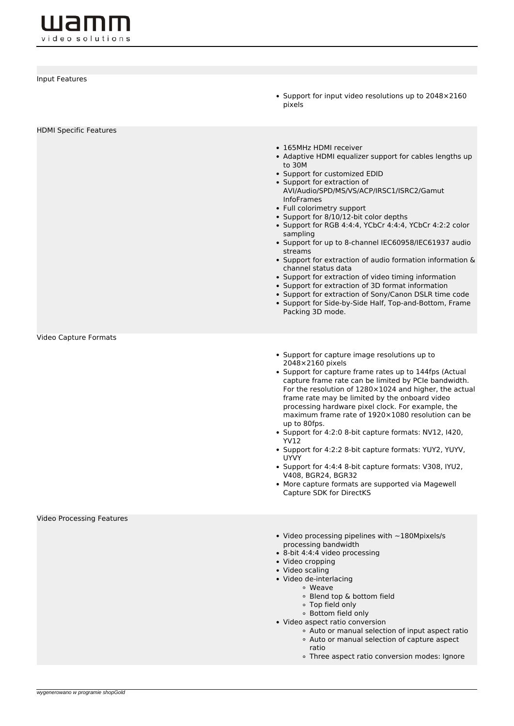**wamm** video solutions

| Input Features                | • Support for input video resolutions up to 2048×2160<br>pixels                                                                                                                                                                                                                                                                                                                                                                                                                                                                                                                                                                                                                                                                                                                          |
|-------------------------------|------------------------------------------------------------------------------------------------------------------------------------------------------------------------------------------------------------------------------------------------------------------------------------------------------------------------------------------------------------------------------------------------------------------------------------------------------------------------------------------------------------------------------------------------------------------------------------------------------------------------------------------------------------------------------------------------------------------------------------------------------------------------------------------|
| <b>HDMI Specific Features</b> | • 165MHz HDMI receiver<br>• Adaptive HDMI equalizer support for cables lengths up<br>to 30M<br>• Support for customized EDID<br>• Support for extraction of<br>AVI/Audio/SPD/MS/VS/ACP/IRSC1/ISRC2/Gamut<br><b>InfoFrames</b><br>• Full colorimetry support<br>• Support for 8/10/12-bit color depths<br>• Support for RGB 4:4:4, YCbCr 4:4:4, YCbCr 4:2:2 color<br>sampling<br>• Support for up to 8-channel IEC60958/IEC61937 audio<br>streams<br>• Support for extraction of audio formation information &<br>channel status data<br>• Support for extraction of video timing information<br>• Support for extraction of 3D format information<br>• Support for extraction of Sony/Canon DSLR time code<br>• Support for Side-by-Side Half, Top-and-Bottom, Frame<br>Packing 3D mode. |
| Video Capture Formats         | • Support for capture image resolutions up to<br>2048×2160 pixels<br>• Support for capture frame rates up to 144fps (Actual<br>capture frame rate can be limited by PCIe bandwidth.<br>For the resolution of $1280\times1024$ and higher, the actual<br>frame rate may be limited by the onboard video<br>processing hardware pixel clock. For example, the<br>maximum frame rate of 1920×1080 resolution can be<br>up to 80fps.<br>• Support for 4:2:0 8-bit capture formats: NV12, I420,<br><b>YV12</b><br>• Support for 4:2:2 8-bit capture formats: YUY2, YUYV,<br><b>UYVY</b><br>• Support for 4:4:4 8-bit capture formats: V308, IYU2,<br>V408, BGR24, BGR32<br>• More capture formats are supported via Magewell<br>Capture SDK for DirectKS                                      |
| Video Processing Features     | • Video processing pipelines with $\sim$ 180Mpixels/s<br>processing bandwidth<br>• 8-bit 4:4:4 video processing<br>• Video cropping<br>• Video scaling<br>· Video de-interlacing<br>• Weave<br>· Blend top & bottom field<br>• Top field only<br>○ Bottom field only<br>• Video aspect ratio conversion<br>• Auto or manual selection of input aspect ratio<br>• Auto or manual selection of capture aspect<br>ratio<br>• Three aspect ratio conversion modes: Ignore                                                                                                                                                                                                                                                                                                                    |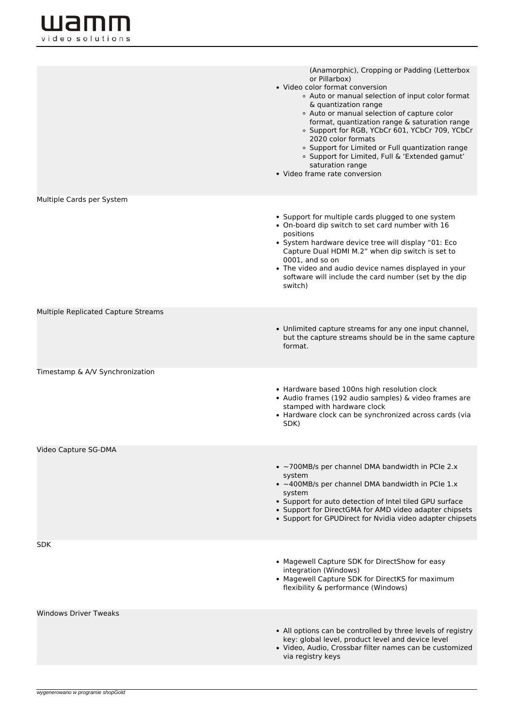|                                     | (Anamorphic), Cropping or Padding (Letterbox<br>or Pillarbox)<br>• Video color format conversion<br>• Auto or manual selection of input color format<br>& quantization range<br>• Auto or manual selection of capture color<br>format, quantization range & saturation range<br><sup>o</sup> Support for RGB, YCbCr 601, YCbCr 709, YCbCr<br>2020 color formats<br><sup>o</sup> Support for Limited or Full quantization range<br><sup>o</sup> Support for Limited, Full & 'Extended gamut'<br>saturation range<br>• Video frame rate conversion |
|-------------------------------------|--------------------------------------------------------------------------------------------------------------------------------------------------------------------------------------------------------------------------------------------------------------------------------------------------------------------------------------------------------------------------------------------------------------------------------------------------------------------------------------------------------------------------------------------------|
| Multiple Cards per System           | • Support for multiple cards plugged to one system<br>• On-board dip switch to set card number with 16<br>positions<br>• System hardware device tree will display "01: Eco<br>Capture Dual HDMI M.2" when dip switch is set to<br>0001, and so on<br>• The video and audio device names displayed in your<br>software will include the card number (set by the dip<br>switch)                                                                                                                                                                    |
| Multiple Replicated Capture Streams | • Unlimited capture streams for any one input channel,<br>but the capture streams should be in the same capture<br>format.                                                                                                                                                                                                                                                                                                                                                                                                                       |
| Timestamp & A/V Synchronization     | • Hardware based 100ns high resolution clock<br>• Audio frames (192 audio samples) & video frames are<br>stamped with hardware clock<br>• Hardware clock can be synchronized across cards (via<br>SDK)                                                                                                                                                                                                                                                                                                                                           |
| Video Capture SG-DMA                | • $\sim$ 700MB/s per channel DMA bandwidth in PCIe 2.x<br>system<br>$\bullet$ ~400MB/s per channel DMA bandwidth in PCIe 1.x<br>system<br>• Support for auto detection of Intel tiled GPU surface<br>• Support for DirectGMA for AMD video adapter chipsets<br>• Support for GPUDirect for Nvidia video adapter chipsets                                                                                                                                                                                                                         |
| SDK                                 | • Magewell Capture SDK for DirectShow for easy<br>integration (Windows)<br>• Magewell Capture SDK for DirectKS for maximum<br>flexibility & performance (Windows)                                                                                                                                                                                                                                                                                                                                                                                |
| <b>Windows Driver Tweaks</b>        | • All options can be controlled by three levels of registry<br>key: global level, product level and device level<br>· Video, Audio, Crossbar filter names can be customized<br>via registry keys                                                                                                                                                                                                                                                                                                                                                 |